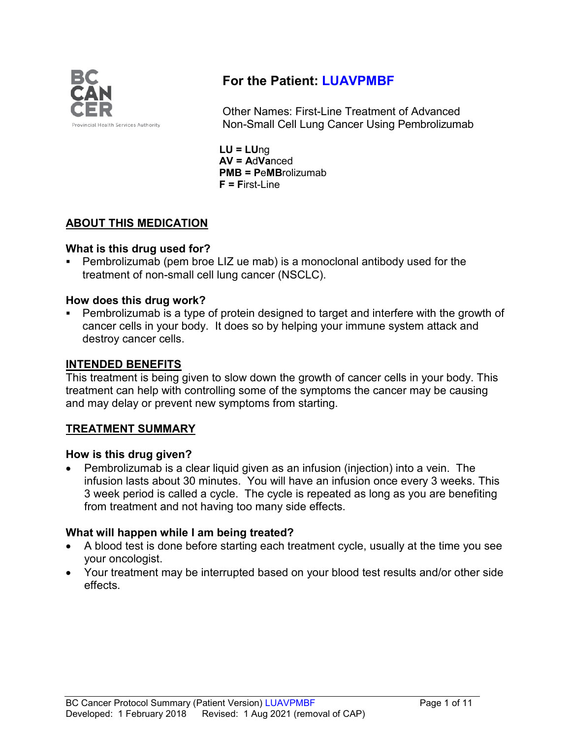

# **For the Patient: LUAVPMBF**

Other Names: First-Line Treatment of Advanced Non-Small Cell Lung Cancer Using Pembrolizumab

**LU = LU**ng **AV = A**d**Va**nced **PMB = P**e**MB**rolizumab **F = F**irst-Line

## **ABOUT THIS MEDICATION**

### **What is this drug used for?**

 Pembrolizumab (pem broe LIZ ue mab) is a monoclonal antibody used for the treatment of non-small cell lung cancer (NSCLC).

### **How does this drug work?**

 Pembrolizumab is a type of protein designed to target and interfere with the growth of cancer cells in your body. It does so by helping your immune system attack and destroy cancer cells.

### **INTENDED BENEFITS**

This treatment is being given to slow down the growth of cancer cells in your body. This treatment can help with controlling some of the symptoms the cancer may be causing and may delay or prevent new symptoms from starting.

### **TREATMENT SUMMARY**

#### **How is this drug given?**

• Pembrolizumab is a clear liquid given as an infusion (injection) into a vein. The infusion lasts about 30 minutes. You will have an infusion once every 3 weeks. This 3 week period is called a cycle. The cycle is repeated as long as you are benefiting from treatment and not having too many side effects.

### **What will happen while I am being treated?**

- A blood test is done before starting each treatment cycle, usually at the time you see your oncologist.
- Your treatment may be interrupted based on your blood test results and/or other side effects.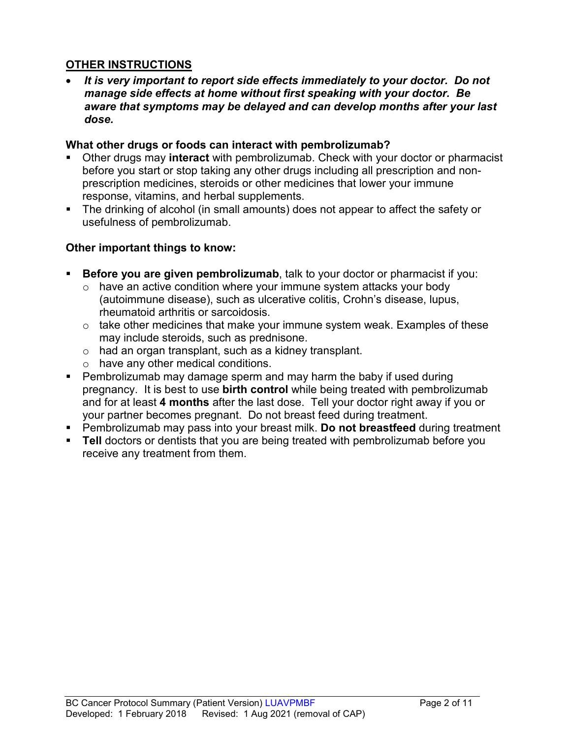### **OTHER INSTRUCTIONS**

• *It is very important to report side effects immediately to your doctor. Do not manage side effects at home without first speaking with your doctor. Be aware that symptoms may be delayed and can develop months after your last dose.*

#### **What other drugs or foods can interact with pembrolizumab?**

- Other drugs may **interact** with pembrolizumab. Check with your doctor or pharmacist before you start or stop taking any other drugs including all prescription and nonprescription medicines, steroids or other medicines that lower your immune response, vitamins, and herbal supplements.
- The drinking of alcohol (in small amounts) does not appear to affect the safety or usefulness of pembrolizumab.

### **Other important things to know:**

- **Before you are given pembrolizumab**, talk to your doctor or pharmacist if you:
	- $\circ$  have an active condition where your immune system attacks your body (autoimmune disease), such as ulcerative colitis, Crohn's disease, lupus, rheumatoid arthritis or sarcoidosis.
	- $\circ$  take other medicines that make your immune system weak. Examples of these may include steroids, such as prednisone.
	- o had an organ transplant, such as a kidney transplant.
	- o have any other medical conditions.
- Pembrolizumab may damage sperm and may harm the baby if used during pregnancy. It is best to use **birth control** while being treated with pembrolizumab and for at least **4 months** after the last dose. Tell your doctor right away if you or your partner becomes pregnant. Do not breast feed during treatment.
- Pembrolizumab may pass into your breast milk. **Do not breastfeed** during treatment
- **Tell** doctors or dentists that you are being treated with pembrolizumab before you receive any treatment from them.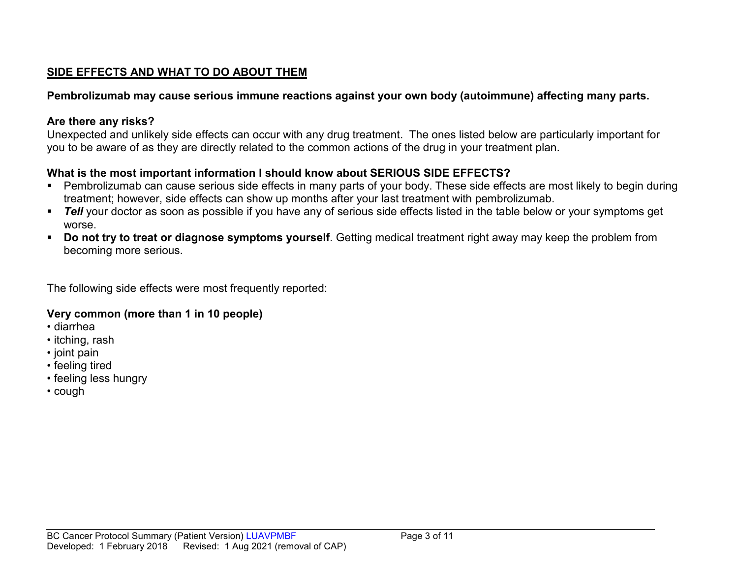## **SIDE EFFECTS AND WHAT TO DO ABOUT THEM**

### **Pembrolizumab may cause serious immune reactions against your own body (autoimmune) affecting many parts.**

### **Are there any risks?**

Unexpected and unlikely side effects can occur with any drug treatment. The ones listed below are particularly important for you to be aware of as they are directly related to the common actions of the drug in your treatment plan.

## **What is the most important information I should know about SERIOUS SIDE EFFECTS?**

- Pembrolizumab can cause serious side effects in many parts of your body. These side effects are most likely to begin during treatment; however, side effects can show up months after your last treatment with pembrolizumab.
- **Tell** your doctor as soon as possible if you have any of serious side effects listed in the table below or your symptoms get worse.
- **Do not try to treat or diagnose symptoms yourself**. Getting medical treatment right away may keep the problem from becoming more serious.

The following side effects were most frequently reported:

### **Very common (more than 1 in 10 people)**

- diarrhea
- itching, rash
- joint pain
- feeling tired
- feeling less hungry
- cough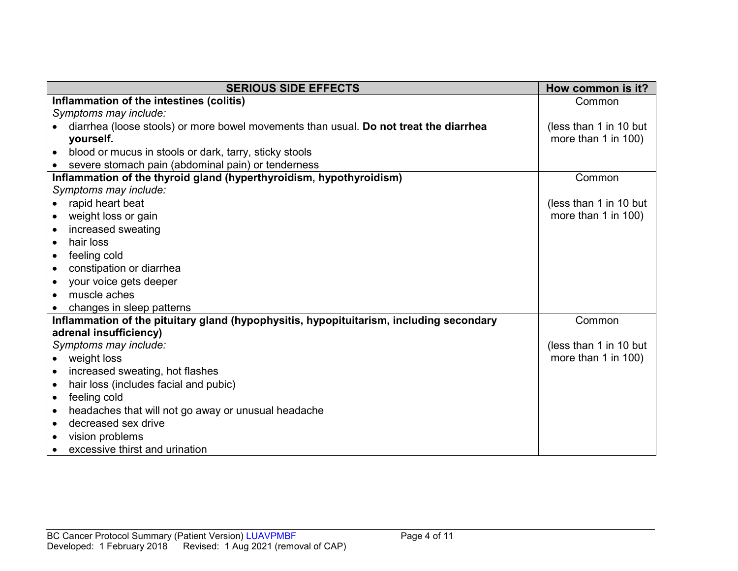| <b>SERIOUS SIDE EFFECTS</b>                                                             | How common is it?        |
|-----------------------------------------------------------------------------------------|--------------------------|
| Inflammation of the intestines (colitis)                                                | Common                   |
| Symptoms may include:                                                                   |                          |
| diarrhea (loose stools) or more bowel movements than usual. Do not treat the diarrhea   | (less than 1 in 10 but   |
| yourself.                                                                               | more than 1 in 100)      |
| blood or mucus in stools or dark, tarry, sticky stools<br>$\bullet$                     |                          |
| severe stomach pain (abdominal pain) or tenderness                                      |                          |
| Inflammation of the thyroid gland (hyperthyroidism, hypothyroidism)                     | Common                   |
| Symptoms may include:                                                                   |                          |
| rapid heart beat                                                                        | (less than 1 in 10 but   |
| weight loss or gain<br>$\bullet$                                                        | more than 1 in 100)      |
| increased sweating                                                                      |                          |
| hair loss<br>$\bullet$                                                                  |                          |
| feeling cold<br>$\bullet$                                                               |                          |
| constipation or diarrhea<br>$\bullet$                                                   |                          |
| your voice gets deeper<br>$\bullet$                                                     |                          |
| muscle aches                                                                            |                          |
| changes in sleep patterns                                                               |                          |
| Inflammation of the pituitary gland (hypophysitis, hypopituitarism, including secondary | Common                   |
| adrenal insufficiency)                                                                  |                          |
| Symptoms may include:                                                                   | (less than 1 in 10 but   |
| weight loss<br>$\bullet$                                                                | more than $1$ in $100$ ) |
| increased sweating, hot flashes                                                         |                          |
| hair loss (includes facial and pubic)<br>$\bullet$                                      |                          |
| feeling cold<br>$\bullet$                                                               |                          |
| headaches that will not go away or unusual headache<br>$\bullet$                        |                          |
| decreased sex drive<br>$\bullet$                                                        |                          |
| vision problems                                                                         |                          |
| excessive thirst and urination<br>$\bullet$                                             |                          |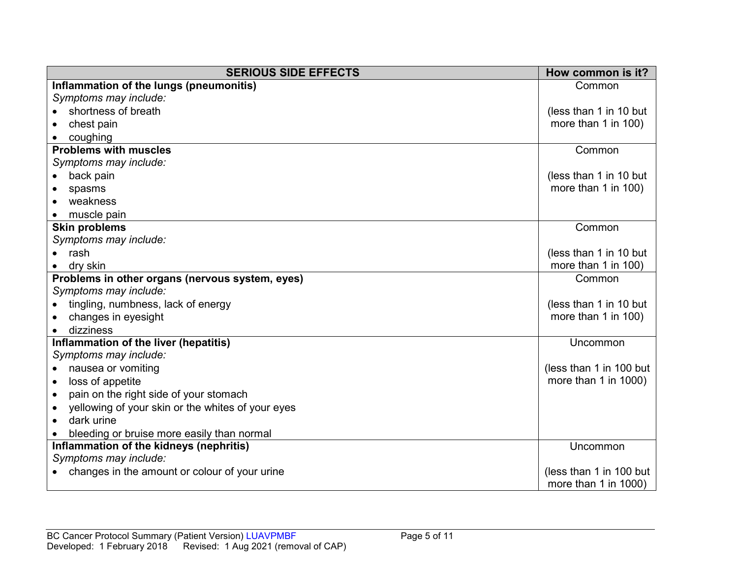| <b>SERIOUS SIDE EFFECTS</b>                                    | How common is it?       |
|----------------------------------------------------------------|-------------------------|
| Inflammation of the lungs (pneumonitis)                        | Common                  |
| Symptoms may include:                                          |                         |
| shortness of breath                                            | (less than 1 in 10 but  |
| chest pain                                                     | more than 1 in 100)     |
| coughing                                                       |                         |
| <b>Problems with muscles</b>                                   | Common                  |
| Symptoms may include:                                          |                         |
| back pain                                                      | (less than 1 in 10 but  |
| spasms                                                         | more than 1 in 100)     |
| weakness                                                       |                         |
| muscle pain                                                    |                         |
| <b>Skin problems</b>                                           | Common                  |
| Symptoms may include:                                          |                         |
| rash                                                           | (less than 1 in 10 but  |
| dry skin                                                       | more than 1 in 100)     |
| Problems in other organs (nervous system, eyes)                | Common                  |
| Symptoms may include:                                          |                         |
| tingling, numbness, lack of energy                             | (less than 1 in 10 but  |
| changes in eyesight                                            | more than 1 in 100)     |
| dizziness                                                      |                         |
| Inflammation of the liver (hepatitis)                          | Uncommon                |
| Symptoms may include:                                          |                         |
| nausea or vomiting                                             | (less than 1 in 100 but |
| more than 1 in 1000)<br>loss of appetite                       |                         |
| pain on the right side of your stomach<br>$\bullet$            |                         |
| yellowing of your skin or the whites of your eyes<br>$\bullet$ |                         |
| dark urine<br>$\bullet$                                        |                         |
| bleeding or bruise more easily than normal                     |                         |
| Inflammation of the kidneys (nephritis)                        | Uncommon                |
| Symptoms may include:                                          |                         |
| changes in the amount or colour of your urine                  | (less than 1 in 100 but |
|                                                                | more than 1 in 1000)    |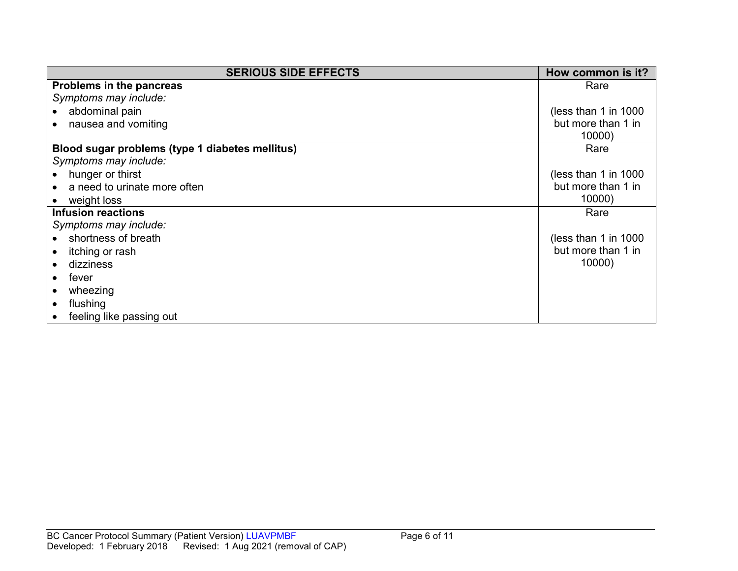| <b>SERIOUS SIDE EFFECTS</b>                     | How common is it?      |
|-------------------------------------------------|------------------------|
| Problems in the pancreas                        | Rare                   |
| Symptoms may include:                           |                        |
| abdominal pain                                  | (less than 1 in $1000$ |
| nausea and vomiting                             | but more than 1 in     |
|                                                 | 10000)                 |
| Blood sugar problems (type 1 diabetes mellitus) | Rare                   |
| Symptoms may include:                           |                        |
| hunger or thirst                                | (less than 1 in $1000$ |
| a need to urinate more often                    | but more than 1 in     |
| weight loss                                     | 10000)                 |
| <b>Infusion reactions</b>                       | Rare                   |
| Symptoms may include:                           |                        |
| shortness of breath                             | (less than 1 in $1000$ |
| itching or rash                                 | but more than 1 in     |
| dizziness                                       | 10000)                 |
| fever                                           |                        |
| wheezing                                        |                        |
| flushing                                        |                        |
| feeling like passing out                        |                        |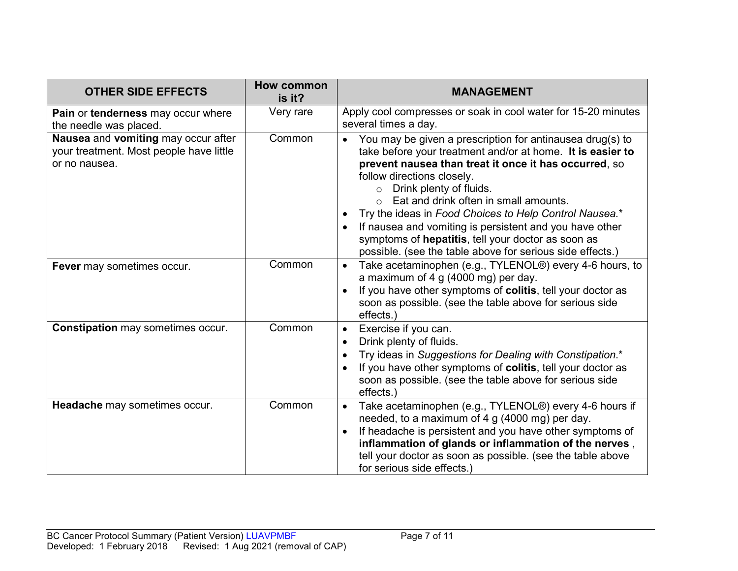| <b>OTHER SIDE EFFECTS</b>                                                                       | How common<br>is it? | <b>MANAGEMENT</b>                                                                                                                                                                                                                                                                                                                                                                                                                                                                                                                                  |
|-------------------------------------------------------------------------------------------------|----------------------|----------------------------------------------------------------------------------------------------------------------------------------------------------------------------------------------------------------------------------------------------------------------------------------------------------------------------------------------------------------------------------------------------------------------------------------------------------------------------------------------------------------------------------------------------|
| Pain or tenderness may occur where<br>the needle was placed.                                    | Very rare            | Apply cool compresses or soak in cool water for 15-20 minutes<br>several times a day.                                                                                                                                                                                                                                                                                                                                                                                                                                                              |
| Nausea and vomiting may occur after<br>your treatment. Most people have little<br>or no nausea. | Common               | You may be given a prescription for antinausea drug(s) to<br>$\bullet$<br>take before your treatment and/or at home. It is easier to<br>prevent nausea than treat it once it has occurred, so<br>follow directions closely.<br>Drink plenty of fluids.<br>$\circ$<br>Eat and drink often in small amounts.<br>Try the ideas in Food Choices to Help Control Nausea.*<br>If nausea and vomiting is persistent and you have other<br>symptoms of hepatitis, tell your doctor as soon as<br>possible. (see the table above for serious side effects.) |
| Fever may sometimes occur.                                                                      | Common               | Take acetaminophen (e.g., TYLENOL®) every 4-6 hours, to<br>$\bullet$<br>a maximum of 4 g (4000 mg) per day.<br>If you have other symptoms of colitis, tell your doctor as<br>soon as possible. (see the table above for serious side<br>effects.)                                                                                                                                                                                                                                                                                                  |
| <b>Constipation may sometimes occur.</b>                                                        | Common               | Exercise if you can.<br>$\bullet$<br>Drink plenty of fluids.<br>Try ideas in Suggestions for Dealing with Constipation.*<br>If you have other symptoms of colitis, tell your doctor as<br>soon as possible. (see the table above for serious side<br>effects.)                                                                                                                                                                                                                                                                                     |
| Headache may sometimes occur.                                                                   | Common               | Take acetaminophen (e.g., TYLENOL®) every 4-6 hours if<br>$\bullet$<br>needed, to a maximum of 4 g (4000 mg) per day.<br>If headache is persistent and you have other symptoms of<br>inflammation of glands or inflammation of the nerves,<br>tell your doctor as soon as possible. (see the table above<br>for serious side effects.)                                                                                                                                                                                                             |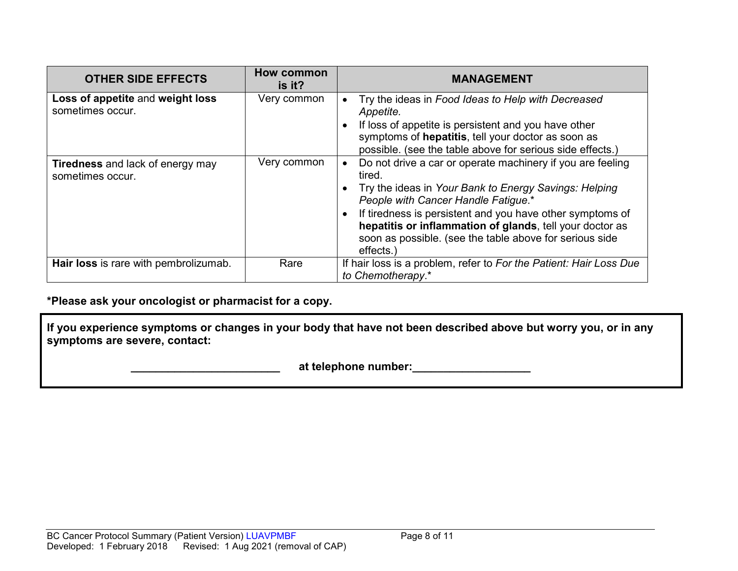| <b>OTHER SIDE EFFECTS</b>                                   | <b>How common</b><br>is it? | <b>MANAGEMENT</b>                                                                                                                                                                                                                                                                                                                                                    |
|-------------------------------------------------------------|-----------------------------|----------------------------------------------------------------------------------------------------------------------------------------------------------------------------------------------------------------------------------------------------------------------------------------------------------------------------------------------------------------------|
| Loss of appetite and weight loss<br>sometimes occur.        | Very common                 | Try the ideas in Food Ideas to Help with Decreased<br>Appetite.<br>If loss of appetite is persistent and you have other<br>symptoms of hepatitis, tell your doctor as soon as<br>possible. (see the table above for serious side effects.)                                                                                                                           |
| <b>Tiredness</b> and lack of energy may<br>sometimes occur. | Very common                 | Do not drive a car or operate machinery if you are feeling<br>tired.<br>Try the ideas in Your Bank to Energy Savings: Helping<br>People with Cancer Handle Fatigue.*<br>If tiredness is persistent and you have other symptoms of<br>hepatitis or inflammation of glands, tell your doctor as<br>soon as possible. (see the table above for serious side<br>effects. |
| Hair loss is rare with pembrolizumab.                       | Rare                        | If hair loss is a problem, refer to For the Patient: Hair Loss Due<br>to Chemotherapy.*                                                                                                                                                                                                                                                                              |

**\*Please ask your oncologist or pharmacist for a copy.**

**If you experience symptoms or changes in your body that have not been described above but worry you, or in any symptoms are severe, contact:**

 **\_\_\_\_\_\_\_\_\_\_\_\_\_\_\_\_\_\_\_\_\_\_\_\_ at telephone number:\_\_\_\_\_\_\_\_\_\_\_\_\_\_\_\_\_\_\_**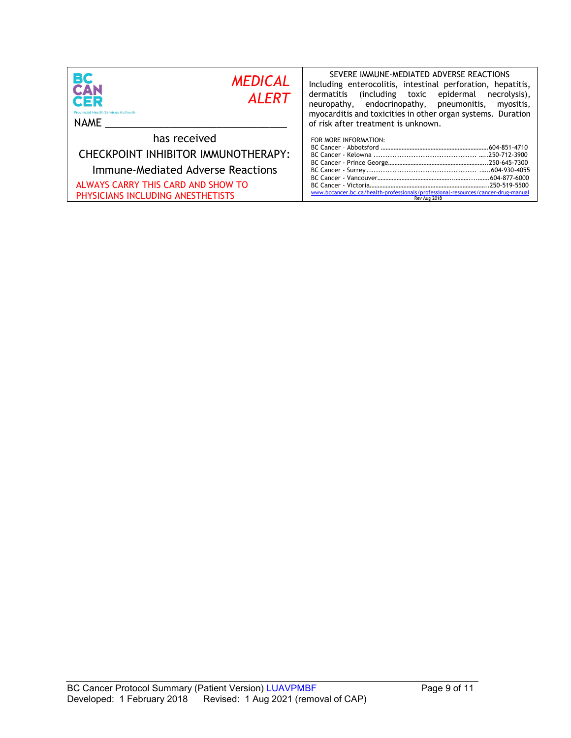| BC<br><b>MEDICAL</b><br><b>CAN</b><br><b>ALERT</b><br>CER<br><b>Provincial Health Services Authority</b><br><b>NAME</b>                                             | SEVERE IMMUNE-MEDIATED ADVERSE REACTIONS<br>Including enterocolitis, intestinal perforation, hepatitis,<br>including toxic epidermal)<br>dermatitis<br>necrolysis),<br>neuropathy, endocrinopathy, pneumonitis,<br>myositis,<br>myocarditis and toxicities in other organ systems. Duration<br>of risk after treatment is unknown. |
|---------------------------------------------------------------------------------------------------------------------------------------------------------------------|------------------------------------------------------------------------------------------------------------------------------------------------------------------------------------------------------------------------------------------------------------------------------------------------------------------------------------|
| has received<br>CHECKPOINT INHIBITOR IMMUNOTHERAPY:<br>Immune-Mediated Adverse Reactions<br>ALWAYS CARRY THIS CARD AND SHOW TO<br>PHYSICIANS INCLUDING ANESTHETISTS | FOR MORE INFORMATION:<br>www.bccancer.bc.ca/health-professionals/professional-resources/cancer-drug-manual<br>Rev Aug 2018                                                                                                                                                                                                         |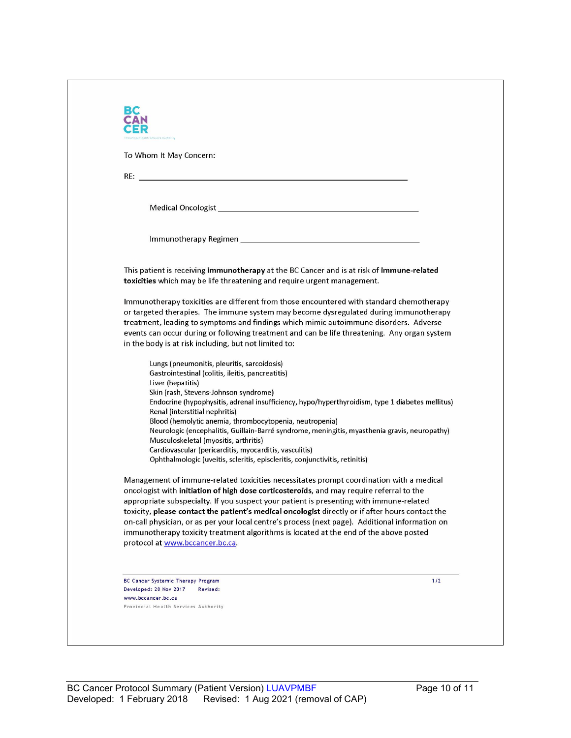| To Whom It May Concern:                                                                                                                                                                                                        |       |
|--------------------------------------------------------------------------------------------------------------------------------------------------------------------------------------------------------------------------------|-------|
|                                                                                                                                                                                                                                |       |
|                                                                                                                                                                                                                                |       |
| Medical Oncologist New York and Service Contract and Service Contract of the Contract of the Contract of the Contract of the Contract of the Contract of the Contract of the Contract of the Contract of the Contract of the C |       |
|                                                                                                                                                                                                                                |       |
|                                                                                                                                                                                                                                |       |
| This patient is receiving immunotherapy at the BC Cancer and is at risk of immune-related<br>toxicities which may be life threatening and require urgent management.                                                           |       |
| Immunotherapy toxicities are different from those encountered with standard chemotherapy                                                                                                                                       |       |
| or targeted therapies. The immune system may become dysregulated during immunotherapy<br>treatment, leading to symptoms and findings which mimic autoimmune disorders. Adverse                                                 |       |
| events can occur during or following treatment and can be life threatening. Any organ system                                                                                                                                   |       |
| in the body is at risk including, but not limited to:                                                                                                                                                                          |       |
| Lungs (pneumonitis, pleuritis, sarcoidosis)                                                                                                                                                                                    |       |
| Gastrointestinal (colitis, ileitis, pancreatitis)                                                                                                                                                                              |       |
| Liver (hepatitis)<br>Skin (rash, Stevens-Johnson syndrome)                                                                                                                                                                     |       |
| Endocrine (hypophysitis, adrenal insufficiency, hypo/hyperthyroidism, type 1 diabetes mellitus)<br>Renal (interstitial nephritis)                                                                                              |       |
| Blood (hemolytic anemia, thrombocytopenia, neutropenia)                                                                                                                                                                        |       |
| Neurologic (encephalitis, Guillain-Barré syndrome, meningitis, myasthenia gravis, neuropathy)<br>Musculoskeletal (myositis, arthritis)                                                                                         |       |
| Cardiovascular (pericarditis, myocarditis, vasculitis)                                                                                                                                                                         |       |
| Ophthalmologic (uveitis, scleritis, episcleritis, conjunctivitis, retinitis)                                                                                                                                                   |       |
| Management of immune-related toxicities necessitates prompt coordination with a medical<br>oncologist with initiation of high dose corticosteroids, and may require referral to the                                            |       |
| appropriate subspecialty. If you suspect your patient is presenting with immune-related                                                                                                                                        |       |
| toxicity, please contact the patient's medical oncologist directly or if after hours contact the                                                                                                                               |       |
| on-call physician, or as per your local centre's process (next page). Additional information on<br>immunotherapy toxicity treatment algorithms is located at the end of the above posted                                       |       |
| protocol at www.bccancer.bc.ca.                                                                                                                                                                                                |       |
|                                                                                                                                                                                                                                |       |
|                                                                                                                                                                                                                                |       |
| BC Cancer Systemic Therapy Program<br>Developed: 28 Nov 2017<br>Revised:                                                                                                                                                       | $1/2$ |
| www.bccancer.bc.ca                                                                                                                                                                                                             |       |